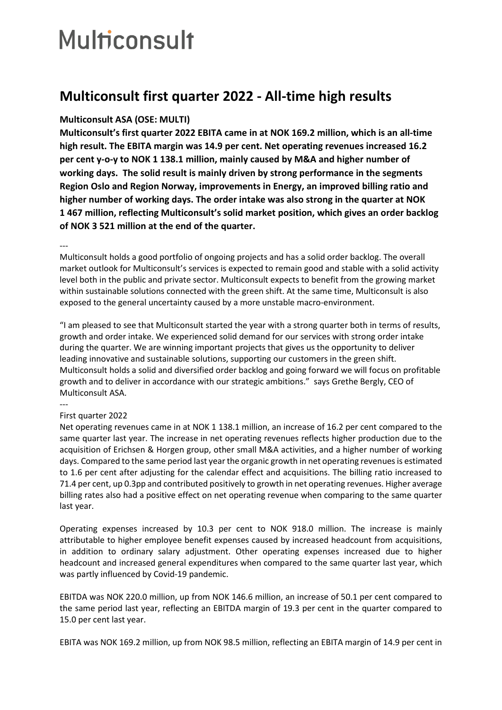## **Multiconsult**

## **Multiconsult first quarter 2022 - All-time high results**

## **Multiconsult ASA (OSE: MULTI)**

**Multiconsult's first quarter 2022 EBITA came in at NOK 169.2 million, which is an all-time high result. The EBITA margin was 14.9 per cent. Net operating revenues increased 16.2 per cent y-o-y to NOK 1 138.1 million, mainly caused by M&A and higher number of working days. The solid result is mainly driven by strong performance in the segments Region Oslo and Region Norway, improvements in Energy, an improved billing ratio and higher number of working days. The order intake was also strong in the quarter at NOK 1 467 million, reflecting Multiconsult's solid market position, which gives an order backlog of NOK 3 521 million at the end of the quarter.**

---

Multiconsult holds a good portfolio of ongoing projects and has a solid order backlog. The overall market outlook for Multiconsult's services is expected to remain good and stable with a solid activity level both in the public and private sector. Multiconsult expects to benefit from the growing market within sustainable solutions connected with the green shift. At the same time, Multiconsult is also exposed to the general uncertainty caused by a more unstable macro-environment.

"I am pleased to see that Multiconsult started the year with a strong quarter both in terms of results, growth and order intake. We experienced solid demand for our services with strong order intake during the quarter. We are winning important projects that gives us the opportunity to deliver leading innovative and sustainable solutions, supporting our customers in the green shift. Multiconsult holds a solid and diversified order backlog and going forward we will focus on profitable growth and to deliver in accordance with our strategic ambitions." says Grethe Bergly, CEO of Multiconsult ASA.

---

## First quarter 2022

Net operating revenues came in at NOK 1 138.1 million, an increase of 16.2 per cent compared to the same quarter last year. The increase in net operating revenues reflects higher production due to the acquisition of Erichsen & Horgen group, other small M&A activities, and a higher number of working days. Compared to the same period last year the organic growth in net operating revenues is estimated to 1.6 per cent after adjusting for the calendar effect and acquisitions. The billing ratio increased to 71.4 per cent, up 0.3pp and contributed positively to growth in net operating revenues. Higher average billing rates also had a positive effect on net operating revenue when comparing to the same quarter last year.

Operating expenses increased by 10.3 per cent to NOK 918.0 million. The increase is mainly attributable to higher employee benefit expenses caused by increased headcount from acquisitions, in addition to ordinary salary adjustment. Other operating expenses increased due to higher headcount and increased general expenditures when compared to the same quarter last year, which was partly influenced by Covid-19 pandemic.

EBITDA was NOK 220.0 million, up from NOK 146.6 million, an increase of 50.1 per cent compared to the same period last year, reflecting an EBITDA margin of 19.3 per cent in the quarter compared to 15.0 per cent last year.

EBITA was NOK 169.2 million, up from NOK 98.5 million, reflecting an EBITA margin of 14.9 per cent in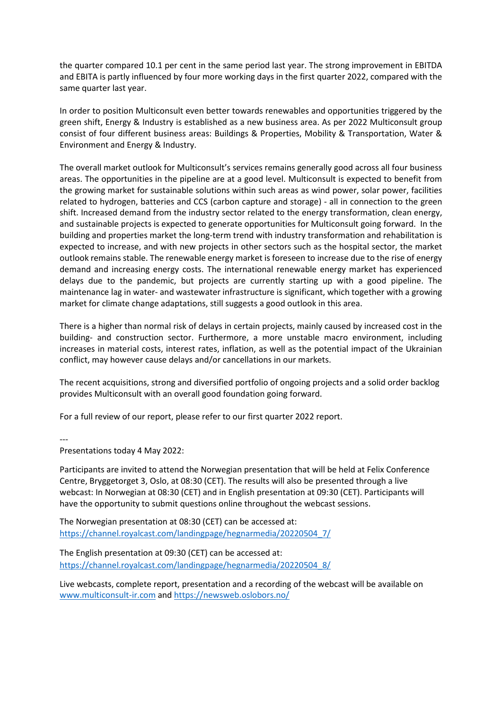the quarter compared 10.1 per cent in the same period last year. The strong improvement in EBITDA and EBITA is partly influenced by four more working days in the first quarter 2022, compared with the same quarter last year.

In order to position Multiconsult even better towards renewables and opportunities triggered by the green shift, Energy & Industry is established as a new business area. As per 2022 Multiconsult group consist of four different business areas: Buildings & Properties, Mobility & Transportation, Water & Environment and Energy & Industry.

The overall market outlook for Multiconsult's services remains generally good across all four business areas. The opportunities in the pipeline are at a good level. Multiconsult is expected to benefit from the growing market for sustainable solutions within such areas as wind power, solar power, facilities related to hydrogen, batteries and CCS (carbon capture and storage) - all in connection to the green shift. Increased demand from the industry sector related to the energy transformation, clean energy, and sustainable projects is expected to generate opportunities for Multiconsult going forward. In the building and properties market the long-term trend with industry transformation and rehabilitation is expected to increase, and with new projects in other sectors such as the hospital sector, the market outlook remains stable. The renewable energy market is foreseen to increase due to the rise of energy demand and increasing energy costs. The international renewable energy market has experienced delays due to the pandemic, but projects are currently starting up with a good pipeline. The maintenance lag in water- and wastewater infrastructure is significant, which together with a growing market for climate change adaptations, still suggests a good outlook in this area.

There is a higher than normal risk of delays in certain projects, mainly caused by increased cost in the building- and construction sector. Furthermore, a more unstable macro environment, including increases in material costs, interest rates, inflation, as well as the potential impact of the Ukrainian conflict, may however cause delays and/or cancellations in our markets.

The recent acquisitions, strong and diversified portfolio of ongoing projects and a solid order backlog provides Multiconsult with an overall good foundation going forward.

For a full review of our report, please refer to our first quarter 2022 report.

---

Presentations today 4 May 2022:

Participants are invited to attend the Norwegian presentation that will be held at Felix Conference Centre, Bryggetorget 3, Oslo, at 08:30 (CET). The results will also be presented through a live webcast: In Norwegian at 08:30 (CET) and in English presentation at 09:30 (CET). Participants will have the opportunity to submit questions online throughout the webcast sessions.

The Norwegian presentation at 08:30 (CET) can be accessed at: [https://channel.royalcast.com/landingpage/hegnarmedia/20220504\\_7/](https://channel.royalcast.com/landingpage/hegnarmedia/20220504_7/)

The English presentation at 09:30 (CET) can be accessed at: [https://channel.royalcast.com/landingpage/hegnarmedia/20220504\\_8/](https://channel.royalcast.com/landingpage/hegnarmedia/20220504_8/)

Live webcasts, complete report, presentation and a recording of the webcast will be available on [www.multiconsult-ir.com](http://www.multiconsult-ir.com/) an[d https://newsweb.oslobors.no/](https://newsweb.oslobors.no/)